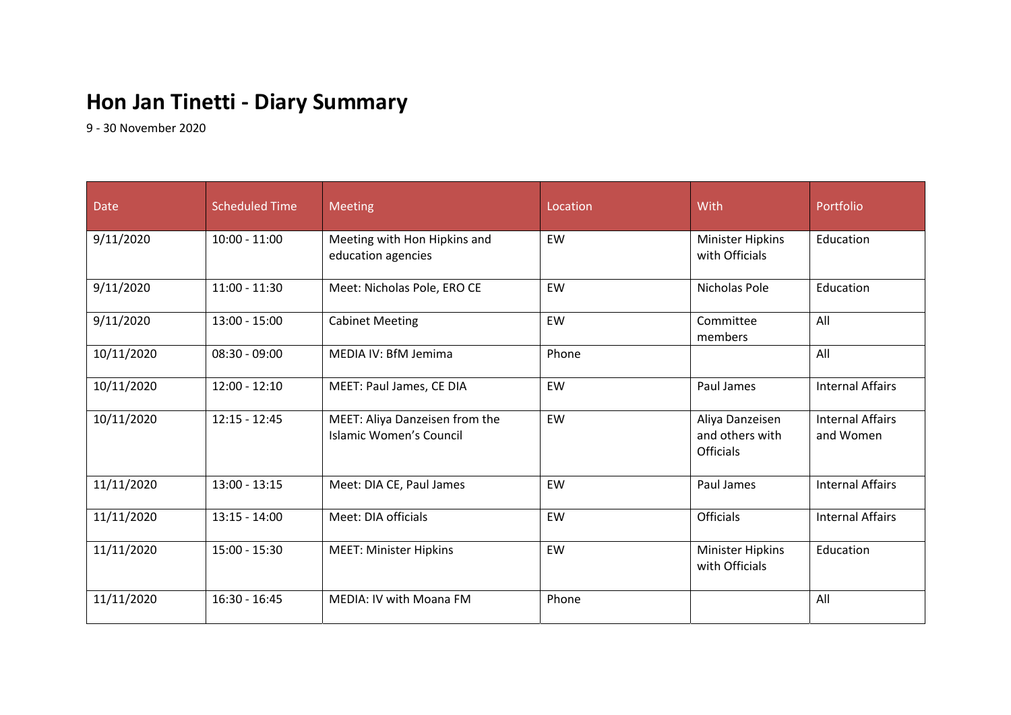## **Hon Jan Tinetti ‐ Diary Summary**

9 ‐ 30 November 2020

| <b>Date</b> | Scheduled Time  | <b>Meeting</b>                                            | Location | With                                                   | Portfolio                            |
|-------------|-----------------|-----------------------------------------------------------|----------|--------------------------------------------------------|--------------------------------------|
| 9/11/2020   | $10:00 - 11:00$ | Meeting with Hon Hipkins and<br>education agencies        | EW       | <b>Minister Hipkins</b><br>with Officials              | Education                            |
| 9/11/2020   | $11:00 - 11:30$ | Meet: Nicholas Pole, ERO CE                               | EW       | Nicholas Pole                                          | Education                            |
| 9/11/2020   | $13:00 - 15:00$ | <b>Cabinet Meeting</b>                                    | EW       | Committee<br>members                                   | All                                  |
| 10/11/2020  | $08:30 - 09:00$ | MEDIA IV: BfM Jemima                                      | Phone    |                                                        | All                                  |
| 10/11/2020  | $12:00 - 12:10$ | MEET: Paul James, CE DIA                                  | EW       | Paul James                                             | <b>Internal Affairs</b>              |
| 10/11/2020  | $12:15 - 12:45$ | MEET: Aliya Danzeisen from the<br>Islamic Women's Council | EW       | Aliya Danzeisen<br>and others with<br><b>Officials</b> | <b>Internal Affairs</b><br>and Women |
| 11/11/2020  | $13:00 - 13:15$ | Meet: DIA CE, Paul James                                  | EW       | Paul James                                             | <b>Internal Affairs</b>              |
| 11/11/2020  | $13:15 - 14:00$ | Meet: DIA officials                                       | EW       | <b>Officials</b>                                       | <b>Internal Affairs</b>              |
| 11/11/2020  | $15:00 - 15:30$ | <b>MEET: Minister Hipkins</b>                             | EW       | Minister Hipkins<br>with Officials                     | Education                            |
| 11/11/2020  | $16:30 - 16:45$ | MEDIA: IV with Moana FM                                   | Phone    |                                                        | All                                  |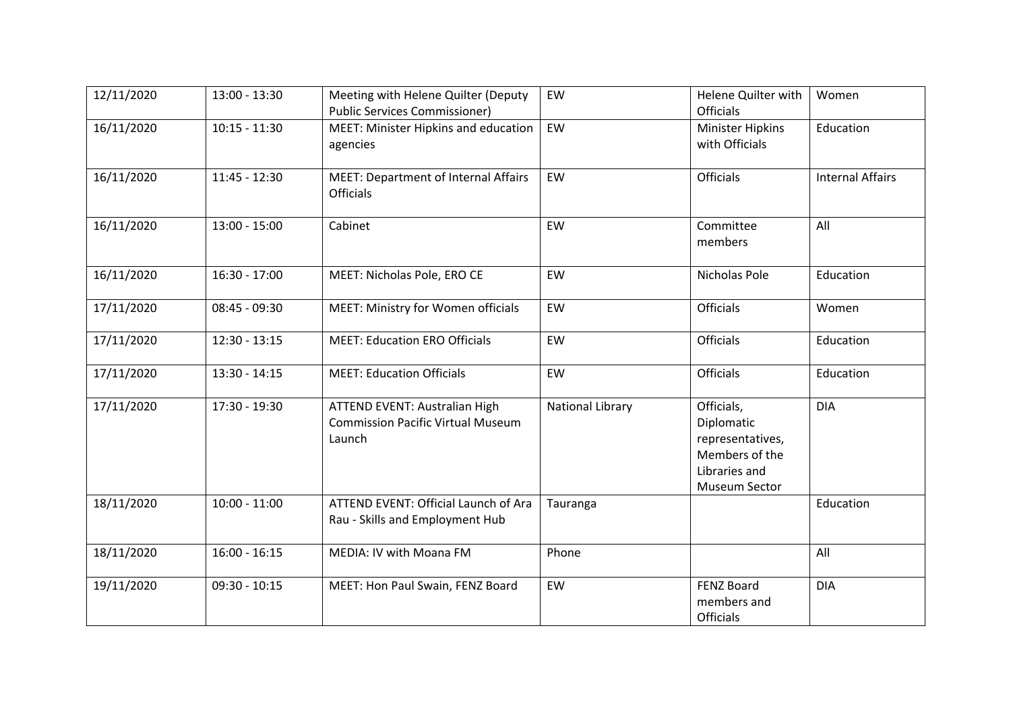| 12/11/2020 | 13:00 - 13:30   | Meeting with Helene Quilter (Deputy<br><b>Public Services Commissioner)</b>                | EW                      | Helene Quilter with<br><b>Officials</b>                                                          | Women                   |
|------------|-----------------|--------------------------------------------------------------------------------------------|-------------------------|--------------------------------------------------------------------------------------------------|-------------------------|
| 16/11/2020 | $10:15 - 11:30$ | MEET: Minister Hipkins and education<br>agencies                                           | EW                      | Minister Hipkins<br>with Officials                                                               | Education               |
| 16/11/2020 | $11:45 - 12:30$ | <b>MEET: Department of Internal Affairs</b><br><b>Officials</b>                            | EW                      | <b>Officials</b>                                                                                 | <b>Internal Affairs</b> |
| 16/11/2020 | $13:00 - 15:00$ | Cabinet                                                                                    | EW                      | Committee<br>members                                                                             | All                     |
| 16/11/2020 | $16:30 - 17:00$ | MEET: Nicholas Pole, ERO CE                                                                | EW                      | Nicholas Pole                                                                                    | Education               |
| 17/11/2020 | $08:45 - 09:30$ | MEET: Ministry for Women officials                                                         | EW                      | <b>Officials</b>                                                                                 | Women                   |
| 17/11/2020 | $12:30 - 13:15$ | <b>MEET: Education ERO Officials</b>                                                       | EW                      | <b>Officials</b>                                                                                 | Education               |
| 17/11/2020 | 13:30 - 14:15   | <b>MEET: Education Officials</b>                                                           | EW                      | <b>Officials</b>                                                                                 | Education               |
| 17/11/2020 | 17:30 - 19:30   | <b>ATTEND EVENT: Australian High</b><br><b>Commission Pacific Virtual Museum</b><br>Launch | <b>National Library</b> | Officials,<br>Diplomatic<br>representatives,<br>Members of the<br>Libraries and<br>Museum Sector | <b>DIA</b>              |
| 18/11/2020 | $10:00 - 11:00$ | ATTEND EVENT: Official Launch of Ara<br>Rau - Skills and Employment Hub                    | Tauranga                |                                                                                                  | Education               |
| 18/11/2020 | $16:00 - 16:15$ | MEDIA: IV with Moana FM                                                                    | Phone                   |                                                                                                  | All                     |
| 19/11/2020 | $09:30 - 10:15$ | MEET: Hon Paul Swain, FENZ Board                                                           | EW                      | <b>FENZ Board</b><br>members and<br><b>Officials</b>                                             | <b>DIA</b>              |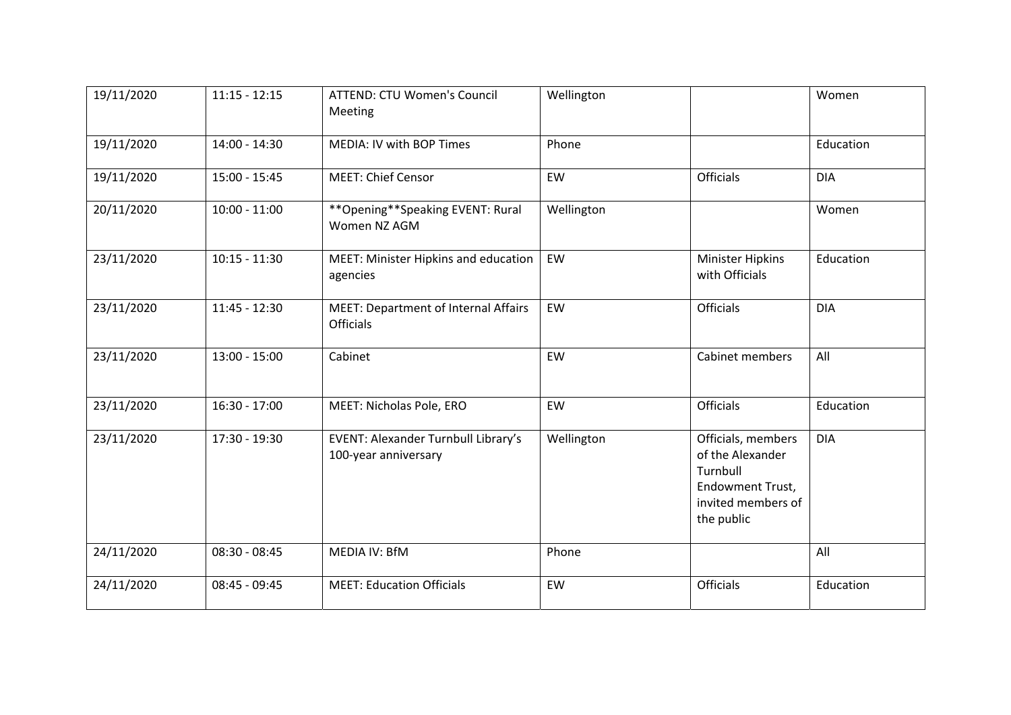| 19/11/2020 | $11:15 - 12:15$ | <b>ATTEND: CTU Women's Council</b><br>Meeting                   | Wellington |                                                                                                                   | Women      |
|------------|-----------------|-----------------------------------------------------------------|------------|-------------------------------------------------------------------------------------------------------------------|------------|
| 19/11/2020 | 14:00 - 14:30   | MEDIA: IV with BOP Times                                        | Phone      |                                                                                                                   | Education  |
| 19/11/2020 | $15:00 - 15:45$ | <b>MEET: Chief Censor</b>                                       | EW         | Officials                                                                                                         | <b>DIA</b> |
| 20/11/2020 | $10:00 - 11:00$ | ** Opening ** Speaking EVENT: Rural<br>Women NZ AGM             | Wellington |                                                                                                                   | Women      |
| 23/11/2020 | $10:15 - 11:30$ | MEET: Minister Hipkins and education<br>agencies                | EW         | Minister Hipkins<br>with Officials                                                                                | Education  |
| 23/11/2020 | $11:45 - 12:30$ | <b>MEET: Department of Internal Affairs</b><br><b>Officials</b> | EW         | <b>Officials</b>                                                                                                  | <b>DIA</b> |
| 23/11/2020 | $13:00 - 15:00$ | Cabinet                                                         | EW         | Cabinet members                                                                                                   | All        |
| 23/11/2020 | $16:30 - 17:00$ | MEET: Nicholas Pole, ERO                                        | EW         | <b>Officials</b>                                                                                                  | Education  |
| 23/11/2020 | 17:30 - 19:30   | EVENT: Alexander Turnbull Library's<br>100-year anniversary     | Wellington | Officials, members<br>of the Alexander<br>Turnbull<br><b>Endowment Trust,</b><br>invited members of<br>the public | <b>DIA</b> |
| 24/11/2020 | $08:30 - 08:45$ | MEDIA IV: BfM                                                   | Phone      |                                                                                                                   | All        |
| 24/11/2020 | $08:45 - 09:45$ | <b>MEET: Education Officials</b>                                | EW         | Officials                                                                                                         | Education  |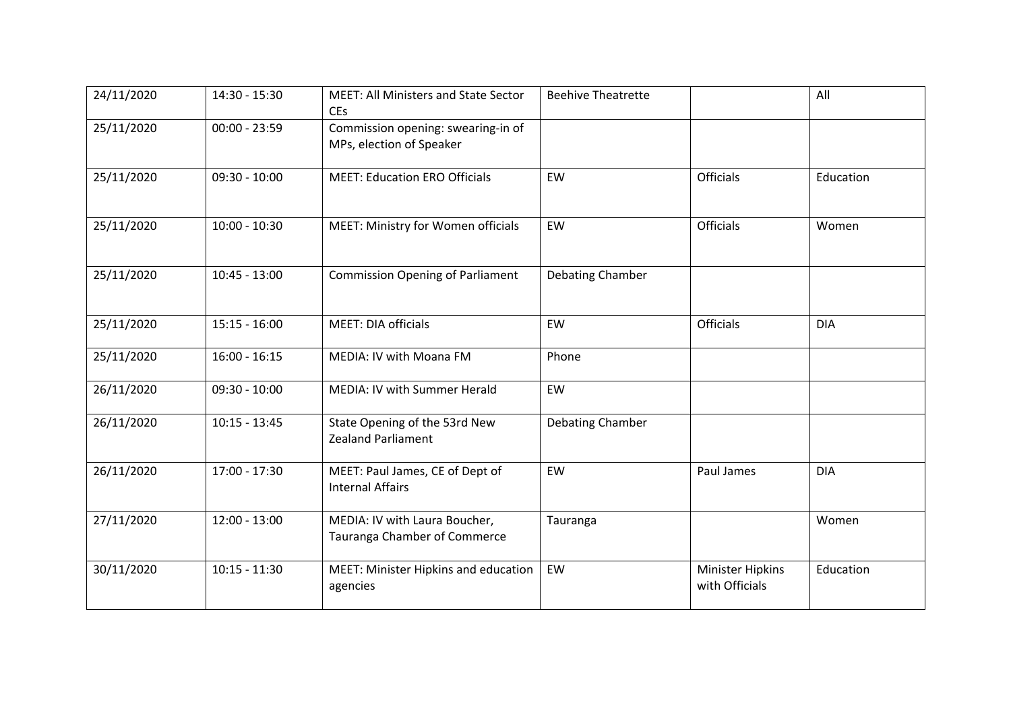| 24/11/2020 | 14:30 - 15:30   | <b>MEET: All Ministers and State Sector</b><br>CEs             | <b>Beehive Theatrette</b> |                                           | All        |
|------------|-----------------|----------------------------------------------------------------|---------------------------|-------------------------------------------|------------|
| 25/11/2020 | $00:00 - 23:59$ | Commission opening: swearing-in of<br>MPs, election of Speaker |                           |                                           |            |
| 25/11/2020 | $09:30 - 10:00$ | <b>MEET: Education ERO Officials</b>                           | EW                        | Officials                                 | Education  |
| 25/11/2020 | $10:00 - 10:30$ | MEET: Ministry for Women officials                             | EW                        | Officials                                 | Women      |
| 25/11/2020 | $10:45 - 13:00$ | <b>Commission Opening of Parliament</b>                        | Debating Chamber          |                                           |            |
| 25/11/2020 | $15:15 - 16:00$ | MEET: DIA officials                                            | EW                        | <b>Officials</b>                          | <b>DIA</b> |
| 25/11/2020 | $16:00 - 16:15$ | MEDIA: IV with Moana FM                                        | Phone                     |                                           |            |
| 26/11/2020 | $09:30 - 10:00$ | MEDIA: IV with Summer Herald                                   | EW                        |                                           |            |
| 26/11/2020 | $10:15 - 13:45$ | State Opening of the 53rd New<br><b>Zealand Parliament</b>     | Debating Chamber          |                                           |            |
| 26/11/2020 | 17:00 - 17:30   | MEET: Paul James, CE of Dept of<br><b>Internal Affairs</b>     | EW                        | Paul James                                | <b>DIA</b> |
| 27/11/2020 | $12:00 - 13:00$ | MEDIA: IV with Laura Boucher,<br>Tauranga Chamber of Commerce  | Tauranga                  |                                           | Women      |
| 30/11/2020 | $10:15 - 11:30$ | MEET: Minister Hipkins and education<br>agencies               | EW                        | <b>Minister Hipkins</b><br>with Officials | Education  |